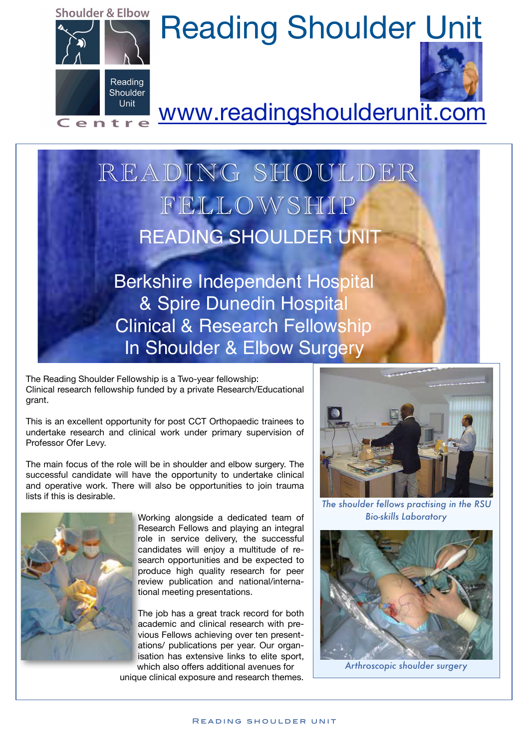

## Shoulder & Elbow Reading Shoulder Unit



## Centre WWW.readingshoulderunit.com

## READING SHOULDER FELLOWSHIP READING SHOULDER UNIT

Berkshire Independent Hospital & Spire Dunedin Hospital Clinical & Research Fellowship In Shoulder & Elbow Surgery

The Reading Shoulder Fellowship is a Two-year fellowship: Clinical research fellowship funded by a private Research/Educational grant.

This is an excellent opportunity for post CCT Orthopaedic trainees to undertake research and clinical work under primary supervision of Professor Ofer Levy.

The main focus of the role will be in shoulder and elbow surgery. The successful candidate will have the opportunity to undertake clinical and operative work. There will also be opportunities to join trauma lists if this is desirable.



Working alongside a dedicated team of Research Fellows and playing an integral role in service delivery, the successful candidates will enjoy a multitude of research opportunities and be expected to produce high quality research for peer review publication and national/international meeting presentations.

The job has a great track record for both academic and clinical research with previous Fellows achieving over ten presentations/ publications per year. Our organ[isation has ex](mailto:cherie@readingshoulderunit.com)tensive links to elite sport, which also offers additional avenues for

unique clinical exposure and re[search themes.](http://www.readingshoulderunit.com)



*The shoulder fellows practising in the RSU Bio-skills Laboratory* 



*Arthroscopic shoulder surgery*